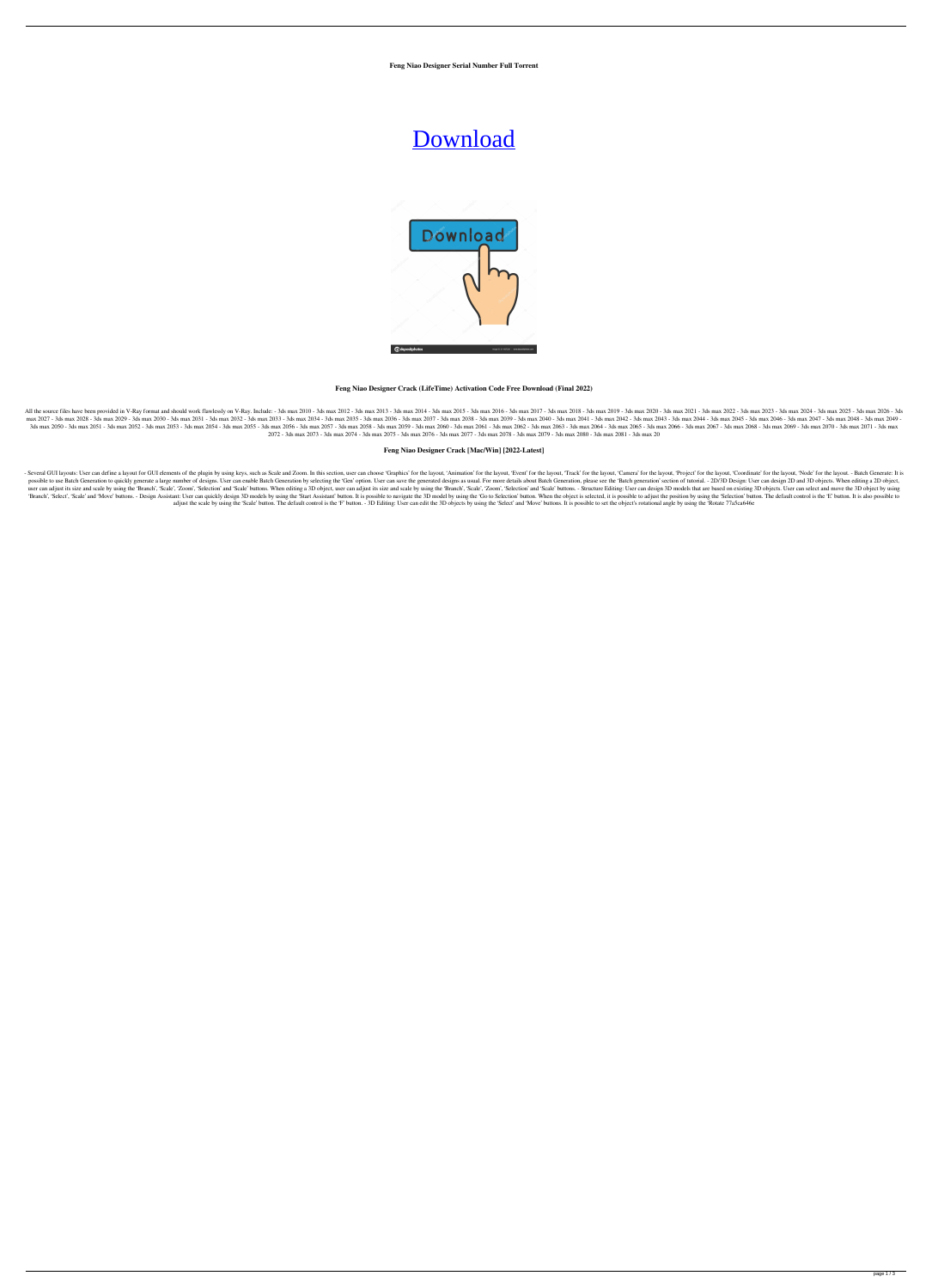**Feng Niao Designer Serial Number Full Torrent**

# [Download](http://evacdir.com/arised.matharo/RmVuZyBuaWFvIGRlc2lnbmVyRmV/ZG93bmxvYWR8N01WTkRJemFYeDhNVFkxTkRVeU1qRXhNSHg4TWpVNU1IeDhLRTBwSUZkdmNtUndjbVZ6Y3lCYldFMU1VbEJESUZZeUlGQkVSbDA/deranged.dirigibles)



# **Feng Niao Designer Crack (LifeTime) Activation Code Free Download (Final 2022)**

All the source files have been provided in V-Ray format and should work flawlessly on V-Ray. Include: - 3ds max 2010 - 3ds max 2012 - 3ds max 2013 - 3ds max 2015 - 3ds max 2015 - 3ds max 2019 - 3ds max 2019 - 3ds max 2020 max 2027 - 3ds max 2029 - 3ds max 2030 - 3ds max 2030 - 3ds max 2031 - 3ds max 2032 - 3ds max 2033 - 3ds max 2034 - 3ds max 2035 - 3ds max 2035 - 3ds max 2039 - 3ds max 2040 - 3ds max 2042 - 3ds max 2043 - 3ds max 2045 - 3 3ds max 2050 - 3ds max 2052 - 3ds max 2052 - 3ds max 2053 - 3ds max 2054 - 3ds max 2055 - 3ds max 2056 - 3ds max 2056 - 3ds max 2059 - 3ds max 2060 - 3ds max 2064 - 3ds max 2064 - 3ds max 2065 - 3ds max 2065 - 3ds max 2068 2072 - 3ds max 2073 - 3ds max 2074 - 3ds max 2075 - 3ds max 2076 - 3ds max 2077 - 3ds max 2078 - 3ds max 2079 - 3ds max 2080 - 3ds max 2081 - 3ds max 20

# **Feng Niao Designer Crack [Mac/Win] [2022-Latest]**

- Several GUI layouts: User can define a layout for GUI elements of the plugin by using keys, such as Scale and Zoom. In this section, user can choose 'Graphics' for the layout, 'Event' for the layout, 'Camera' for the lay possible to use Batch Generation to quickly generate a large number of designs. User can enable Batch Generation by selecting the 'Gen' option. User can save the generated designs as usual. For more details about Batch Gen user can adjust its size and scale by using the 'Branch', 'Scale', 'Zoom', 'Selection' and 'Scale' buttons. When editing a 3D object, user can adjust its size and scale by using the 'Branch', 'Scale', 'Zoom', 'Selection' a 'Branch', 'Select', 'Scale' and 'Move' buttons. - Design Assistant: User can quickly design 3D models by using the 'Start Assistant' button. It is possible to navigate the 3D model by using the 'Go to Selection' button. Wh adjust the scale by using the 'Scale' button. The default control is the 'F' button. - 3D Editing: User can edit the 3D objects by using the 'Select' and 'Move' buttons. It is possible to set the object's rotational angle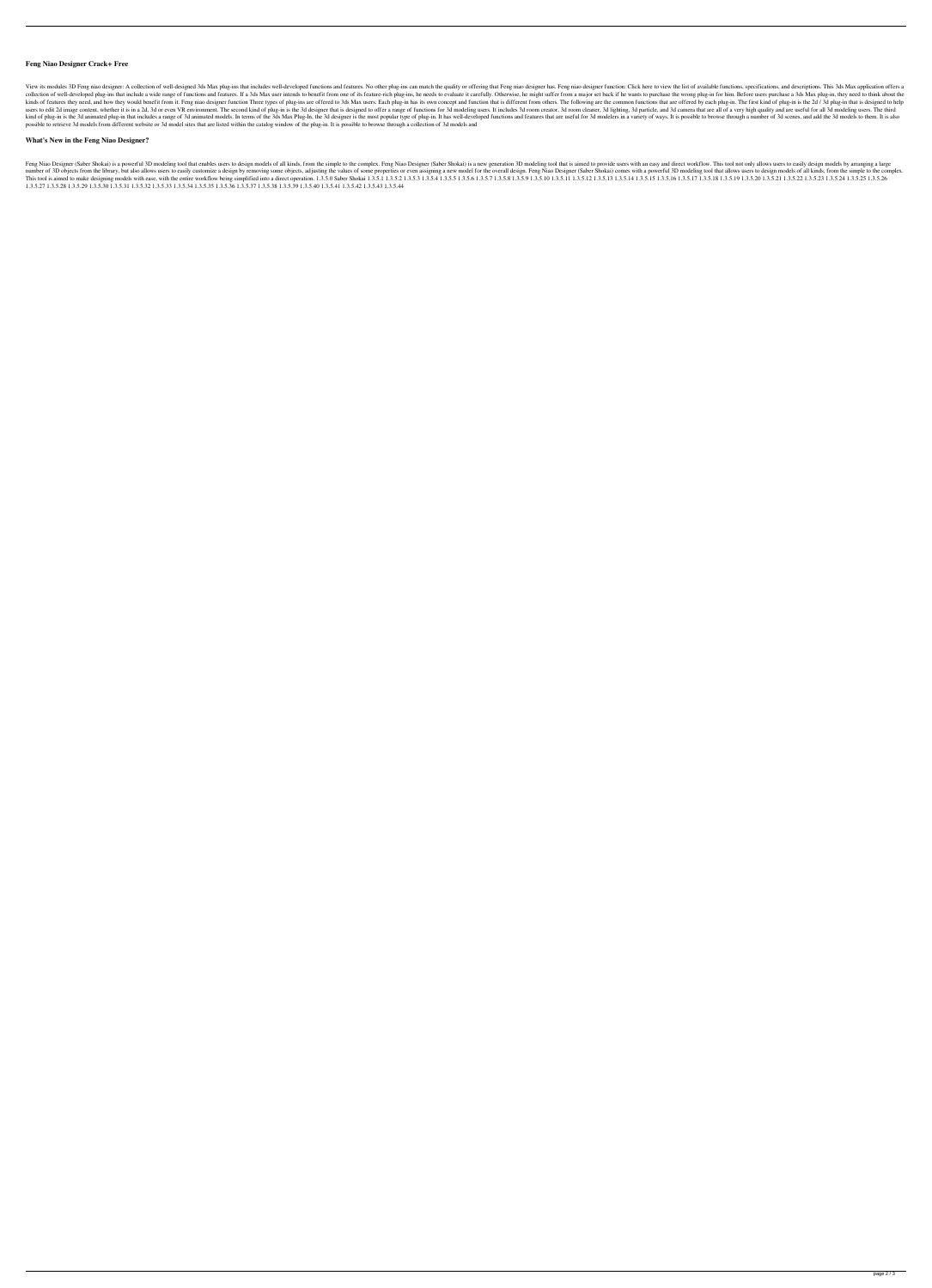## **Feng Niao Designer Crack+ Free**

View its modules 3D Feng niao designer: A collection of well-designed 3ds Max plug-ins that includes well-developed functions and features. No other plug-ins can match the quality or offering that Feng niao designer functi collection of well-developed plug-ins that include a wide range of functions and features. If a 3ds Max user intends to benefit from one of its feature-rich plug-ins, he needs to evaluate it carefully. Otherwise, he might kinds of features they need, and how they would benefit from it. Feng niao designer function Three types of plug-ins are offered to 3ds Max users. Each plug-in has its own concept and function that is different from others users to edit 2d image content, whether it is in a 2d, 3d or even VR environment. The second kind of plug-in is the 3d designer that is designed to offer a range of functions for 3d modeling users. It includes 3d room clea kind of plug-in is the 3d animated plug-in that includes a range of 3d animated models. In terms of the 3ds Max Plug-In, the 3d designer is the most popular type of plug-in. It has well-developed functions and features tha possible to retrieve 3d models from different website or 3d model sites that are listed within the catalog window of the plug-in. It is possible to browse through a collection of 3d models and

Feng Niao Designer (Saber Shokai) is a powerful 3D modeling tool that enables users to design models of all kinds, from the simple to the complex. Feng Niao Designer (Saber Shokai) is a new generation 3D modeling tool that number of 3D objects from the library, but also allows users to easily customize a design by removing some objects, adjusting the values of some properties or even assigning a new model for the overall design. Feng Niao De This tool is aimed to make designing models with ease, with the entire workflow being simplified into a direct operation. 1.3.5.0 Saber Shokai 1.3.5.1 1.3.5.2 1.3.5.3 1.3.5.4 1.3.5.5 1.3.5.8 1.3.5.9 1.3.5.10 1.3.5.10 1.3.5 1.3.5.27 1.3.5.28 1.3.5.29 1.3.5.30 1.3.5.31 1.3.5.32 1.3.5.33 1.3.5.34 1.3.5.35 1.3.5.36 1.3.5.37 1.3.5.38 1.3.5.39 1.3.5.40 1.3.5.41 1.3.5.42 1.3.5.43 1.3.5.44

#### **What's New in the Feng Niao Designer?**